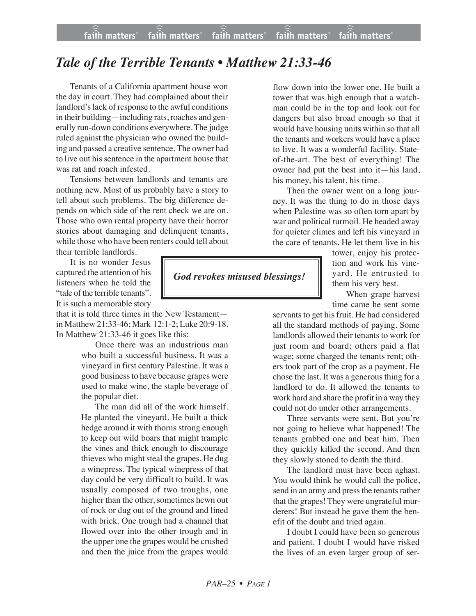## *Tale of the Terrible Tenants • Matthew 21:33-46*

Tenants of a California apartment house won the day in court. They had complained about their landlord's lack of response to the awful conditions in their building—including rats, roaches and generally run-down conditions everywhere. The judge ruled against the physician who owned the building and passed a creative sentence. The owner had to live out his sentence in the apartment house that was rat and roach infested.

Tensions between landlords and tenants are nothing new. Most of us probably have a story to tell about such problems. The big difference depends on which side of the rent check we are on. Those who own rental property have their horror stories about damaging and delinquent tenants, while those who have been renters could tell about their terrible landlords.

It is no wonder Jesus captured the attention of his listeners when he told the "tale of the terrible tenants". It is such a memorable story

that it is told three times in the New Testament in Matthew 21:33-46; Mark 12:1-2; Luke 20:9-18. In Matthew 21:33-46 it goes like this:

> Once there was an industrious man who built a successful business. It was a vineyard in first century Palestine. It was a good business to have because grapes were used to make wine, the staple beverage of the popular diet.

> The man did all of the work himself. He planted the vineyard. He built a thick hedge around it with thorns strong enough to keep out wild boars that might trample the vines and thick enough to discourage thieves who might steal the grapes. He dug a winepress. The typical winepress of that day could be very difficult to build. It was usually composed of two troughs, one higher than the other, sometimes hewn out of rock or dug out of the ground and lined with brick. One trough had a channel that flowed over into the other trough and in the upper one the grapes would be crushed and then the juice from the grapes would

flow down into the lower one. He built a tower that was high enough that a watchman could be in the top and look out for dangers but also broad enough so that it would have housing units within so that all the tenants and workers would have a place to live. It was a wonderful facility. Stateof-the-art. The best of everything! The owner had put the best into it—his land, his money, his talent, his time.

Then the owner went on a long journey. It was the thing to do in those days when Palestine was so often torn apart by war and political turmoil. He headed away for quieter climes and left his vineyard in the care of tenants. He let them live in his

> tower, enjoy his protection and work his vineyard. He entrusted to them his very best.

> When grape harvest time came he sent some

servants to get his fruit. He had considered all the standard methods of paying. Some landlords allowed their tenants to work for just room and board; others paid a flat wage; some charged the tenants rent; others took part of the crop as a payment. He chose the last. It was a generous thing for a landlord to do. It allowed the tenants to work hard and share the profit in a way they could not do under other arrangements.

Three servants were sent. But you're not going to believe what happened! The tenants grabbed one and beat him. Then they quickly killed the second. And then they slowly stoned to death the third.

The landlord must have been aghast. You would think he would call the police, send in an army and press the tenants rather that the grapes! They were ungrateful murderers! But instead he gave them the benefit of the doubt and tried again.

I doubt I could have been so generous and patient. I doubt I would have risked the lives of an even larger group of ser-

*God revokes misused blessings!*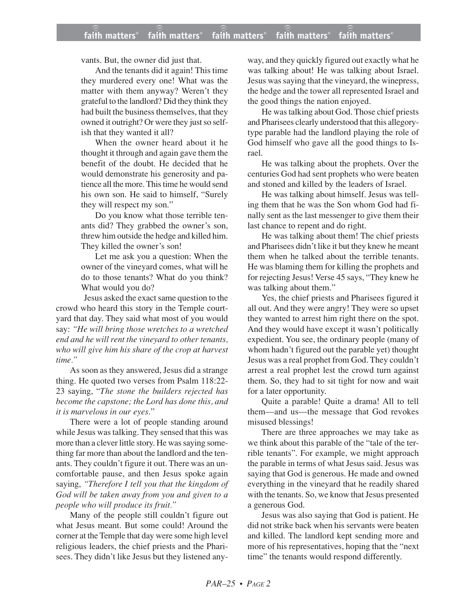vants. But, the owner did just that.

And the tenants did it again! This time they murdered every one! What was the matter with them anyway? Weren't they grateful to the landlord? Did they think they had built the business themselves, that they owned it outright? Or were they just so selfish that they wanted it all?

When the owner heard about it he thought it through and again gave them the benefit of the doubt. He decided that he would demonstrate his generosity and patience all the more. This time he would send his own son. He said to himself, "Surely they will respect my son."

Do you know what those terrible tenants did? They grabbed the owner's son, threw him outside the hedge and killed him. They killed the owner's son!

Let me ask you a question: When the owner of the vineyard comes, what will he do to those tenants? What do you think? What would you do?

Jesus asked the exact same question to the crowd who heard this story in the Temple courtyard that day. They said what most of you would say: *"He will bring those wretches to a wretched end and he will rent the vineyard to other tenants, who will give him his share of the crop at harvest time."*

As soon as they answered, Jesus did a strange thing. He quoted two verses from Psalm 118:22- 23 saying, "*The stone the builders rejected has become the capstone; the Lord has done this, and it is marvelous in our eyes*."

There were a lot of people standing around while Jesus was talking. They sensed that this was more than a clever little story. He was saying something far more than about the landlord and the tenants. They couldn't figure it out. There was an uncomfortable pause, and then Jesus spoke again saying, *"Therefore I tell you that the kingdom of God will be taken away from you and given to a people who will produce its fruit."*

Many of the people still couldn't figure out what Jesus meant. But some could! Around the corner at the Temple that day were some high level religious leaders, the chief priests and the Pharisees. They didn't like Jesus but they listened anyway, and they quickly figured out exactly what he was talking about! He was talking about Israel. Jesus was saying that the vineyard, the winepress, the hedge and the tower all represented Israel and the good things the nation enjoyed.

He was talking about God. Those chief priests and Pharisees clearly understood that this allegorytype parable had the landlord playing the role of God himself who gave all the good things to Israel.

He was talking about the prophets. Over the centuries God had sent prophets who were beaten and stoned and killed by the leaders of Israel.

He was talking about himself. Jesus was telling them that he was the Son whom God had finally sent as the last messenger to give them their last chance to repent and do right.

He was talking about them! The chief priests and Pharisees didn't like it but they knew he meant them when he talked about the terrible tenants. He was blaming them for killing the prophets and for rejecting Jesus! Verse 45 says, "They knew he was talking about them."

Yes, the chief priests and Pharisees figured it all out. And they were angry! They were so upset they wanted to arrest him right there on the spot. And they would have except it wasn't politically expedient. You see, the ordinary people (many of whom hadn't figured out the parable yet) thought Jesus was a real prophet from God. They couldn't arrest a real prophet lest the crowd turn against them. So, they had to sit tight for now and wait for a later opportunity.

Quite a parable! Quite a drama! All to tell them—and us—the message that God revokes misused blessings!

There are three approaches we may take as we think about this parable of the "tale of the terrible tenants". For example, we might approach the parable in terms of what Jesus said. Jesus was saying that God is generous. He made and owned everything in the vineyard that he readily shared with the tenants. So, we know that Jesus presented a generous God.

Jesus was also saying that God is patient. He did not strike back when his servants were beaten and killed. The landlord kept sending more and more of his representatives, hoping that the "next time" the tenants would respond differently.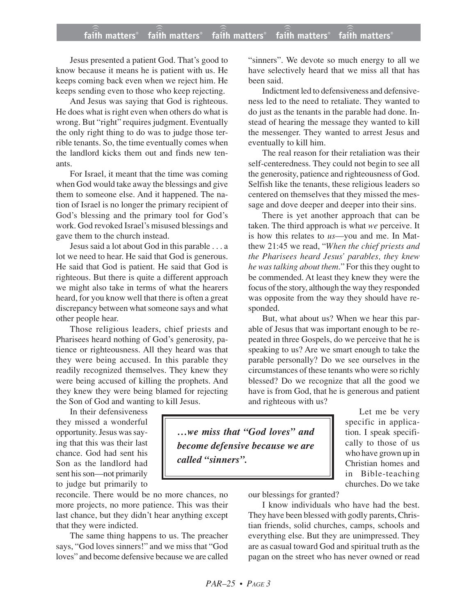## **faith matters® faith matters® faith matters® faith matters® faith matters®** ))) ))) ))) ))) )))

Jesus presented a patient God. That's good to know because it means he is patient with us. He keeps coming back even when we reject him. He keeps sending even to those who keep rejecting.

And Jesus was saying that God is righteous. He does what is right even when others do what is wrong. But "right" requires judgment. Eventually the only right thing to do was to judge those terrible tenants. So, the time eventually comes when the landlord kicks them out and finds new tenants.

For Israel, it meant that the time was coming when God would take away the blessings and give them to someone else. And it happened. The nation of Israel is no longer the primary recipient of God's blessing and the primary tool for God's work. God revoked Israel's misused blessings and gave them to the church instead.

Jesus said a lot about God in this parable . . . a lot we need to hear. He said that God is generous. He said that God is patient. He said that God is righteous. But there is quite a different approach we might also take in terms of what the hearers heard, for you know well that there is often a great discrepancy between what someone says and what other people hear.

Those religious leaders, chief priests and Pharisees heard nothing of God's generosity, patience or righteousness. All they heard was that they were being accused. In this parable they readily recognized themselves. They knew they were being accused of killing the prophets. And they knew they were being blamed for rejecting the Son of God and wanting to kill Jesus.

In their defensiveness they missed a wonderful opportunity. Jesus was saying that this was their last chance. God had sent his Son as the landlord had sent his son—not primarily to judge but primarily to

reconcile. There would be no more chances, no more projects, no more patience. This was their last chance, but they didn't hear anything except that they were indicted.

The same thing happens to us. The preacher says, "God loves sinners!" and we miss that "God loves" and become defensive because we are called "sinners". We devote so much energy to all we have selectively heard that we miss all that has been said.

Indictment led to defensiveness and defensiveness led to the need to retaliate. They wanted to do just as the tenants in the parable had done. Instead of hearing the message they wanted to kill the messenger. They wanted to arrest Jesus and eventually to kill him.

The real reason for their retaliation was their self-centeredness. They could not begin to see all the generosity, patience and righteousness of God. Selfish like the tenants, these religious leaders so centered on themselves that they missed the message and dove deeper and deeper into their sins.

There is yet another approach that can be taken. The third approach is what *we* perceive. It is how this relates to *us*—you and me. In Matthew 21:45 we read, "*When the chief priests and the Pharisees heard Jesus' parables, they knew he was talking about them*." For this they ought to be commended. At least they knew they were the focus of the story, although the way they responded was opposite from the way they should have responded.

But, what about us? When we hear this parable of Jesus that was important enough to be repeated in three Gospels, do we perceive that he is speaking to us? Are we smart enough to take the parable personally? Do we see ourselves in the circumstances of these tenants who were so richly blessed? Do we recognize that all the good we have is from God, that he is generous and patient and righteous with us?

*…we miss that "God loves" and become defensive because we are called "sinners".*

Let me be very specific in application. I speak specifically to those of us who have grown up in Christian homes and in Bible-teaching churches. Do we take

our blessings for granted?

I know individuals who have had the best. They have been blessed with godly parents, Christian friends, solid churches, camps, schools and everything else. But they are unimpressed. They are as casual toward God and spiritual truth as the pagan on the street who has never owned or read